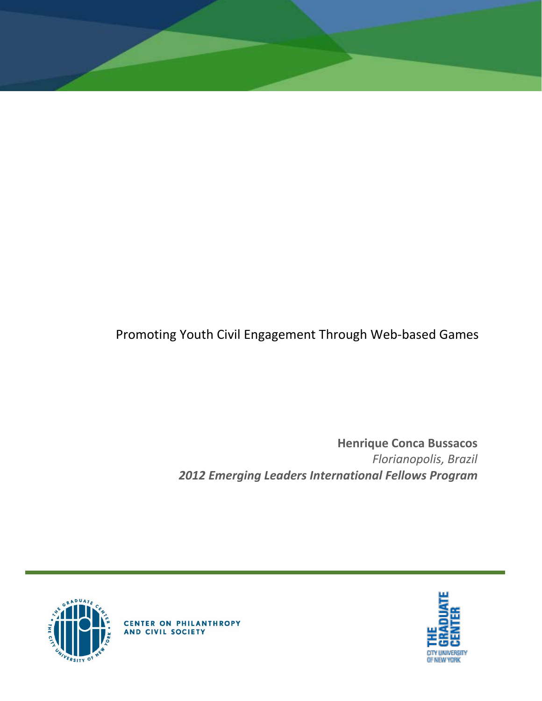

**Henrique Conca Bussacos** *Florianopolis, Brazil 2012 Emerging Leaders International Fellows Program*





**CENTER ON PHILANTHROPY**<br>AND CIVIL SOCIETY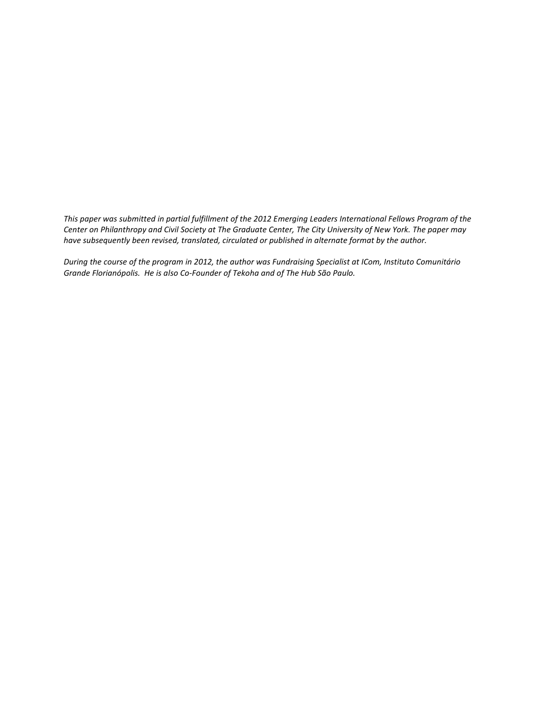*This paper was submitted in partial fulfillment of the 2012 Emerging Leaders International Fellows Program of the Center on Philanthropy and Civil Society at The Graduate Center, The City University of New York. The paper may have subsequently been revised, translated, circulated or published in alternate format by the author.*

*During the course of the program in 2012, the author was Fundraising Specialist at ICom, Instituto Comunitário Grande Florianópolis. He is also Co-Founder of Tekoha and of The Hub São Paulo.*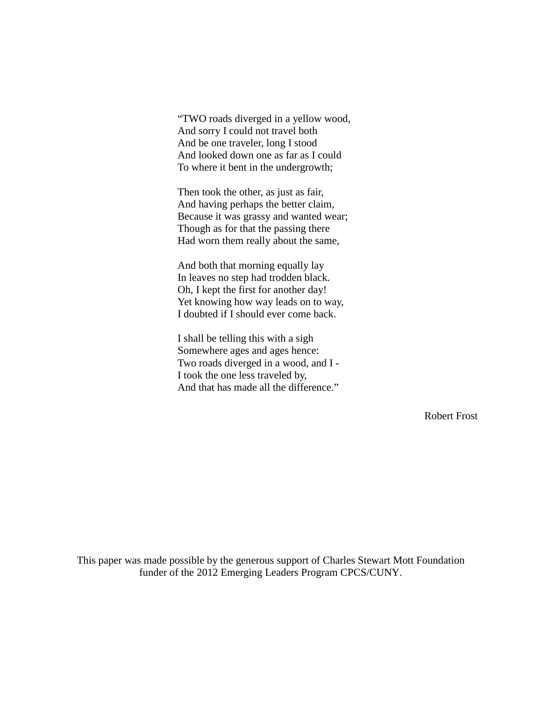"TWO roads diverged in a yellow wood, And sorry I could not travel both And be one traveler, long I stood And looked down one as far as I could To where it bent in the undergrowth;

Then took the other, as just as fair, And having perhaps the better claim, Because it was grassy and wanted wear; Though as for that the passing there Had worn them really about the same,

And both that morning equally lay In leaves no step had trodden black. Oh, I kept the first for another day! Yet knowing how way leads on to way, I doubted if I should ever come back.

I shall be telling this with a sigh Somewhere ages and ages hence: Two roads diverged in a wood, and I - I took the one less traveled by, And that has made all the difference."

Robert Frost

This paper was made possible by the generous support of Charles Stewart Mott Foundation funder of the 2012 Emerging Leaders Program CPCS/CUNY.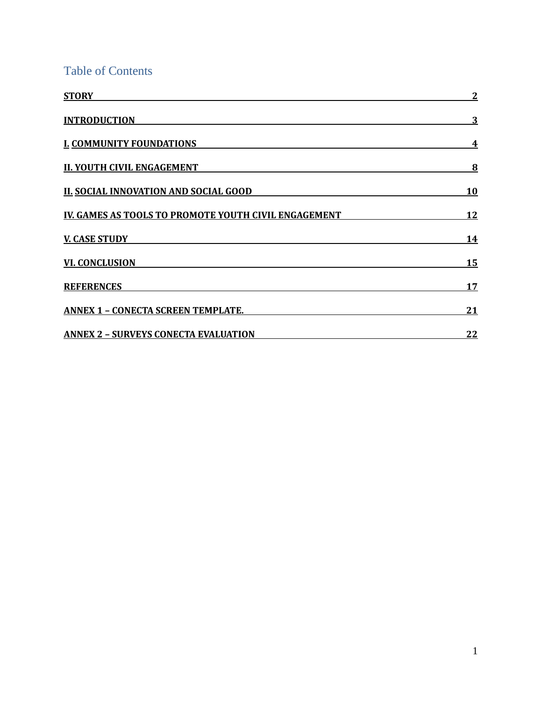Table of Contents

| <b>STORY</b>                                         | 2         |
|------------------------------------------------------|-----------|
| <b>INTRODUCTION</b>                                  | 3         |
| <b>I. COMMUNITY FOUNDATIONS</b>                      | 4         |
| <b>II. YOUTH CIVIL ENGAGEMENT</b>                    | 8         |
| <b>II. SOCIAL INNOVATION AND SOCIAL GOOD</b>         | <b>10</b> |
| IV. GAMES AS TOOLS TO PROMOTE YOUTH CIVIL ENGAGEMENT | <u>12</u> |
| <b>V. CASE STUDY</b>                                 | <u>14</u> |
| <b>VI. CONCLUSION</b>                                | 15        |
| <b>REFERENCES</b>                                    | 17        |
| <b>ANNEX 1 - CONECTA SCREEN TEMPLATE.</b>            | 21        |
| <b>ANNEX 2 - SURVEYS CONECTA EVALUATION</b>          | 22        |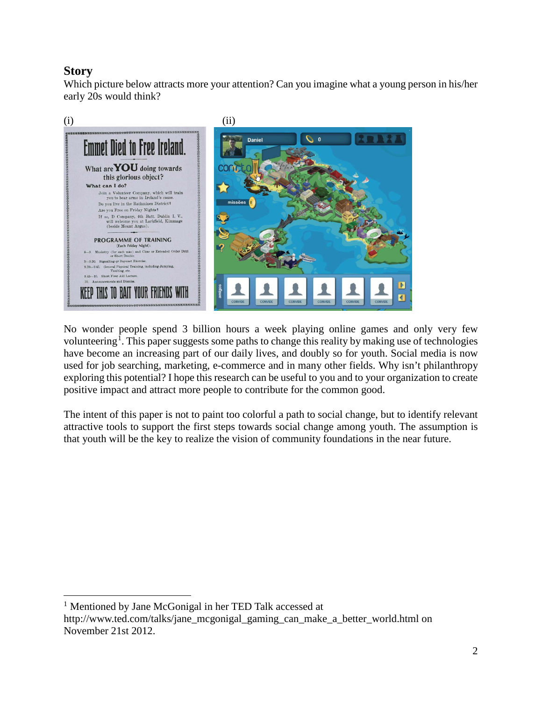# <span id="page-4-0"></span>**Story**

Which picture below attracts more your attention? Can you imagine what a young person in his/her early 20s would think?



No wonder people spend 3 billion hours a week playing online games and only very few volunteering<sup>[1](#page-4-1)</sup>. This paper suggests some paths to change this reality by making use of technologies have become an increasing part of our daily lives, and doubly so for youth. Social media is now used for job searching, marketing, e-commerce and in many other fields. Why isn't philanthropy exploring this potential? I hope this research can be useful to you and to your organization to create positive impact and attract more people to contribute for the common good.

The intent of this paper is not to paint too colorful a path to social change, but to identify relevant attractive tools to support the first steps towards social change among youth. The assumption is that youth will be the key to realize the vision of community foundations in the near future.

<span id="page-4-1"></span><sup>&</sup>lt;sup>1</sup> Mentioned by Jane McGonigal in her TED Talk accessed at  $\overline{a}$ 

http://www.ted.com/talks/jane\_mcgonigal\_gaming\_can\_make\_a\_better\_world.html on November 21st 2012.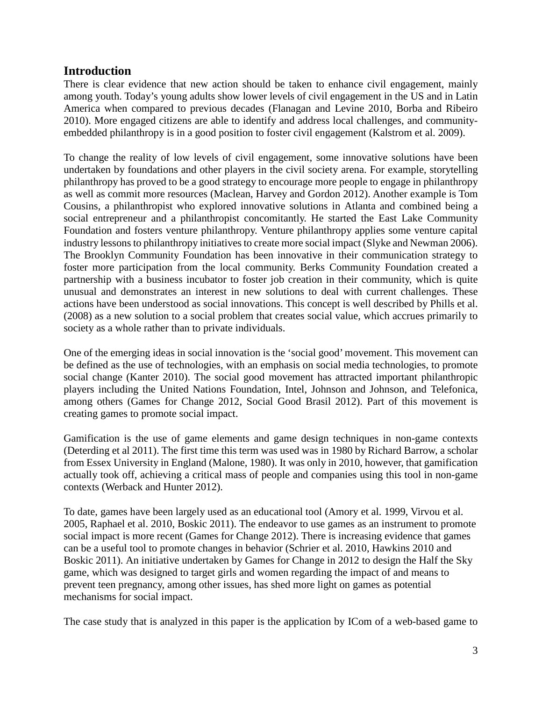#### <span id="page-5-0"></span>**Introduction**

There is clear evidence that new action should be taken to enhance civil engagement, mainly among youth. Today's young adults show lower levels of civil engagement in the US and in Latin America when compared to previous decades (Flanagan and Levine 2010, Borba and Ribeiro 2010). More engaged citizens are able to identify and address local challenges, and communityembedded philanthropy is in a good position to foster civil engagement (Kalstrom et al. 2009).

To change the reality of low levels of civil engagement, some innovative solutions have been undertaken by foundations and other players in the civil society arena. For example, storytelling philanthropy has proved to be a good strategy to encourage more people to engage in philanthropy as well as commit more resources (Maclean, Harvey and Gordon 2012). Another example is Tom Cousins, a philanthropist who explored innovative solutions in Atlanta and combined being a social entrepreneur and a philanthropist concomitantly. He started the East Lake Community Foundation and fosters venture philanthropy. Venture philanthropy applies some venture capital industry lessons to philanthropy initiatives to create more social impact (Slyke and Newman 2006). The Brooklyn Community Foundation has been innovative in their communication strategy to foster more participation from the local community. Berks Community Foundation created a partnership with a business incubator to foster job creation in their community, which is quite unusual and demonstrates an interest in new solutions to deal with current challenges. These actions have been understood as social innovations. This concept is well described by Phills et al. (2008) as a new solution to a social problem that creates social value, which accrues primarily to society as a whole rather than to private individuals.

One of the emerging ideas in social innovation is the 'social good' movement. This movement can be defined as the use of technologies, with an emphasis on social media technologies, to promote social change (Kanter 2010). The social good movement has attracted important philanthropic players including the United Nations Foundation, Intel, Johnson and Johnson, and Telefonica, among others (Games for Change 2012, Social Good Brasil 2012). Part of this movement is creating games to promote social impact.

Gamification is the use of game elements and game design techniques in non-game contexts (Deterding et al 2011). The first time this term was used was in 1980 by Richard Barrow, a scholar from Essex University in England (Malone, 1980). It was only in 2010, however, that gamification actually took off, achieving a critical mass of people and companies using this tool in non-game contexts (Werback and Hunter 2012).

To date, games have been largely used as an educational tool (Amory et al. 1999, Virvou et al. 2005, Raphael et al. 2010, Boskic 2011). The endeavor to use games as an instrument to promote social impact is more recent (Games for Change 2012). There is increasing evidence that games can be a useful tool to promote changes in behavior (Schrier et al. 2010, Hawkins 2010 and Boskic 2011). An initiative undertaken by Games for Change in 2012 to design the Half the Sky game, which was designed to target girls and women regarding the impact of and means to prevent teen pregnancy, among other issues, has shed more light on games as potential mechanisms for social impact.

The case study that is analyzed in this paper is the application by ICom of a web-based game to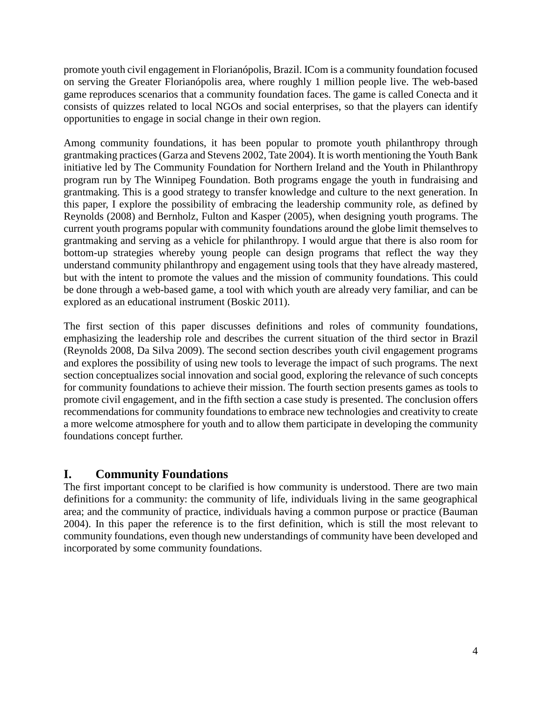promote youth civil engagement in Florianópolis, Brazil. ICom is a community foundation focused on serving the Greater Florianópolis area, where roughly 1 million people live. The web-based game reproduces scenarios that a community foundation faces. The game is called Conecta and it consists of quizzes related to local NGOs and social enterprises, so that the players can identify opportunities to engage in social change in their own region.

Among community foundations, it has been popular to promote youth philanthropy through grantmaking practices (Garza and Stevens 2002, Tate 2004). It is worth mentioning the Youth Bank initiative led by The Community Foundation for Northern Ireland and the Youth in Philanthropy program run by The Winnipeg Foundation. Both programs engage the youth in fundraising and grantmaking. This is a good strategy to transfer knowledge and culture to the next generation. In this paper, I explore the possibility of embracing the leadership community role, as defined by Reynolds (2008) and Bernholz, Fulton and Kasper (2005), when designing youth programs. The current youth programs popular with community foundations around the globe limit themselves to grantmaking and serving as a vehicle for philanthropy. I would argue that there is also room for bottom-up strategies whereby young people can design programs that reflect the way they understand community philanthropy and engagement using tools that they have already mastered, but with the intent to promote the values and the mission of community foundations. This could be done through a web-based game, a tool with which youth are already very familiar, and can be explored as an educational instrument (Boskic 2011).

The first section of this paper discusses definitions and roles of community foundations, emphasizing the leadership role and describes the current situation of the third sector in Brazil (Reynolds 2008, Da Silva 2009). The second section describes youth civil engagement programs and explores the possibility of using new tools to leverage the impact of such programs. The next section conceptualizes social innovation and social good, exploring the relevance of such concepts for community foundations to achieve their mission. The fourth section presents games as tools to promote civil engagement, and in the fifth section a case study is presented. The conclusion offers recommendations for community foundations to embrace new technologies and creativity to create a more welcome atmosphere for youth and to allow them participate in developing the community foundations concept further.

# <span id="page-6-0"></span>**I. Community Foundations**

The first important concept to be clarified is how community is understood. There are two main definitions for a community: the community of life, individuals living in the same geographical area; and the community of practice, individuals having a common purpose or practice (Bauman 2004). In this paper the reference is to the first definition, which is still the most relevant to community foundations, even though new understandings of community have been developed and incorporated by some community foundations.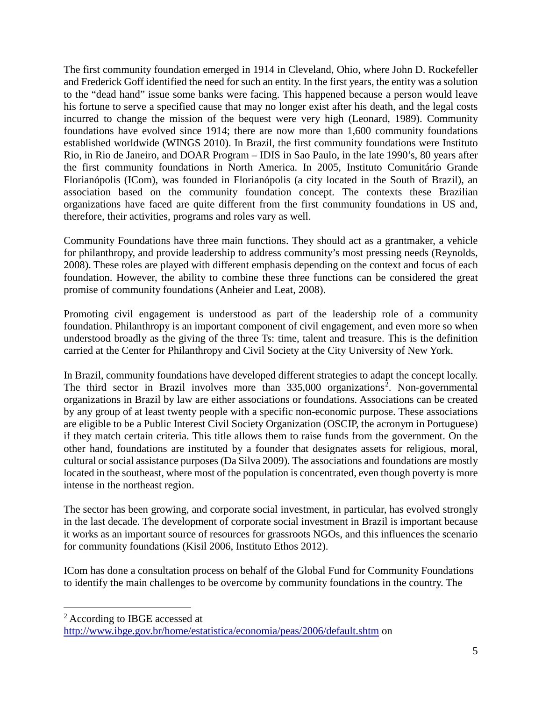The first community foundation emerged in 1914 in Cleveland, Ohio, where John D. Rockefeller and Frederick Goff identified the need for such an entity. In the first years, the entity was a solution to the "dead hand" issue some banks were facing. This happened because a person would leave his fortune to serve a specified cause that may no longer exist after his death, and the legal costs incurred to change the mission of the bequest were very high (Leonard, 1989). Community foundations have evolved since 1914; there are now more than 1,600 community foundations established worldwide (WINGS 2010). In Brazil, the first community foundations were Instituto Rio, in Rio de Janeiro, and DOAR Program – IDIS in Sao Paulo, in the late 1990's, 80 years after the first community foundations in North America. In 2005, Instituto Comunitário Grande Florianópolis (ICom), was founded in Florianópolis (a city located in the South of Brazil), an association based on the community foundation concept. The contexts these Brazilian organizations have faced are quite different from the first community foundations in US and, therefore, their activities, programs and roles vary as well.

Community Foundations have three main functions. They should act as a grantmaker, a vehicle for philanthropy, and provide leadership to address community's most pressing needs (Reynolds, 2008). These roles are played with different emphasis depending on the context and focus of each foundation. However, the ability to combine these three functions can be considered the great promise of community foundations (Anheier and Leat, 2008).

Promoting civil engagement is understood as part of the leadership role of a community foundation. Philanthropy is an important component of civil engagement, and even more so when understood broadly as the giving of the three Ts: time, talent and treasure. This is the definition carried at the Center for Philanthropy and Civil Society at the City University of New York.

In Brazil, community foundations have developed different strategies to adapt the concept locally. The third sector in Brazil involves more than  $335,000$  organizations<sup>[2](#page-7-0)</sup>. Non-governmental organizations in Brazil by law are either associations or foundations. Associations can be created by any group of at least twenty people with a specific non-economic purpose. These associations are eligible to be a Public Interest Civil Society Organization (OSCIP, the acronym in Portuguese) if they match certain criteria. This title allows them to raise funds from the government. On the other hand, foundations are instituted by a founder that designates assets for religious, moral, cultural or social assistance purposes (Da Silva 2009). The associations and foundations are mostly located in the southeast, where most of the population is concentrated, even though poverty is more intense in the northeast region.

The sector has been growing, and corporate social investment, in particular, has evolved strongly in the last decade. The development of corporate social investment in Brazil is important because it works as an important source of resources for grassroots NGOs, and this influences the scenario for community foundations (Kisil 2006, Instituto Ethos 2012).

ICom has done a consultation process on behalf of the Global Fund for Community Foundations to identify the main challenges to be overcome by community foundations in the country. The

 $\overline{a}$ 

<span id="page-7-0"></span><sup>2</sup> According to IBGE accessed at

<http://www.ibge.gov.br/home/estatistica/economia/peas/2006/default.shtm> on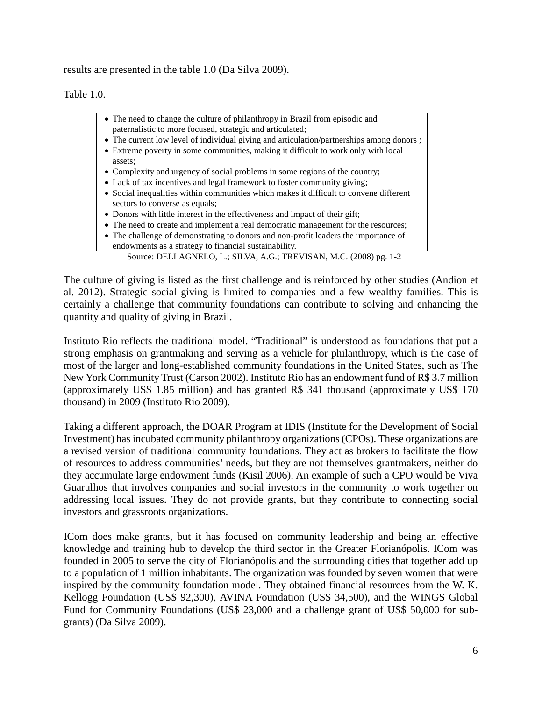results are presented in the table 1.0 (Da Silva 2009).

Table 1.0.

- The need to change the culture of philanthropy in Brazil from episodic and paternalistic to more focused, strategic and articulated;
- The current low level of individual giving and articulation/partnerships among donors;
- Extreme poverty in some communities, making it difficult to work only with local assets;
- Complexity and urgency of social problems in some regions of the country;
- Lack of tax incentives and legal framework to foster community giving;
- Social inequalities within communities which makes it difficult to convene different sectors to converse as equals;
- Donors with little interest in the effectiveness and impact of their gift;
- The need to create and implement a real democratic management for the resources;
- The challenge of demonstrating to donors and non-profit leaders the importance of endowments as a strategy to financial sustainability.

Source: DELLAGNELO, L.; SILVA, A.G.; TREVISAN, M.C. (2008) pg. 1-2

The culture of giving is listed as the first challenge and is reinforced by other studies (Andion et al. 2012). Strategic social giving is limited to companies and a few wealthy families. This is certainly a challenge that community foundations can contribute to solving and enhancing the quantity and quality of giving in Brazil.

Instituto Rio reflects the traditional model. "Traditional" is understood as foundations that put a strong emphasis on grantmaking and serving as a vehicle for philanthropy, which is the case of most of the larger and long-established community foundations in the United States, such as The New York Community Trust (Carson 2002). Instituto Rio has an endowment fund of R\$ 3.7 million (approximately US\$ 1.85 million) and has granted R\$ 341 thousand (approximately US\$ 170 thousand) in 2009 (Instituto Rio 2009).

Taking a different approach, the DOAR Program at IDIS (Institute for the Development of Social Investment) has incubated community philanthropy organizations (CPOs). These organizations are a revised version of traditional community foundations. They act as brokers to facilitate the flow of resources to address communities' needs, but they are not themselves grantmakers, neither do they accumulate large endowment funds (Kisil 2006). An example of such a CPO would be Viva Guarulhos that involves companies and social investors in the community to work together on addressing local issues. They do not provide grants, but they contribute to connecting social investors and grassroots organizations.

ICom does make grants, but it has focused on community leadership and being an effective knowledge and training hub to develop the third sector in the Greater Florianópolis. ICom was founded in 2005 to serve the city of Florianópolis and the surrounding cities that together add up to a population of 1 million inhabitants. The organization was founded by seven women that were inspired by the community foundation model. They obtained financial resources from the W. K. Kellogg Foundation (US\$ 92,300), AVINA Foundation (US\$ 34,500), and the WINGS Global Fund for Community Foundations (US\$ 23,000 and a challenge grant of US\$ 50,000 for subgrants) (Da Silva 2009).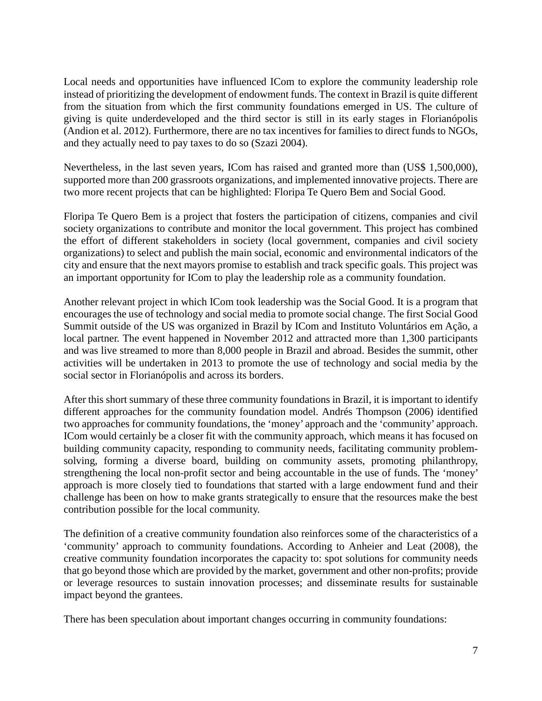Local needs and opportunities have influenced ICom to explore the community leadership role instead of prioritizing the development of endowment funds. The context in Brazil is quite different from the situation from which the first community foundations emerged in US. The culture of giving is quite underdeveloped and the third sector is still in its early stages in Florianópolis (Andion et al. 2012). Furthermore, there are no tax incentives for families to direct funds to NGOs, and they actually need to pay taxes to do so (Szazi 2004).

Nevertheless, in the last seven years, ICom has raised and granted more than (US\$ 1,500,000), supported more than 200 grassroots organizations, and implemented innovative projects. There are two more recent projects that can be highlighted: Floripa Te Quero Bem and Social Good.

Floripa Te Quero Bem is a project that fosters the participation of citizens, companies and civil society organizations to contribute and monitor the local government. This project has combined the effort of different stakeholders in society (local government, companies and civil society organizations) to select and publish the main social, economic and environmental indicators of the city and ensure that the next mayors promise to establish and track specific goals. This project was an important opportunity for ICom to play the leadership role as a community foundation.

Another relevant project in which ICom took leadership was the Social Good. It is a program that encourages the use of technology and social media to promote social change. The first Social Good Summit outside of the US was organized in Brazil by ICom and Instituto Voluntários em Ação, a local partner. The event happened in November 2012 and attracted more than 1,300 participants and was live streamed to more than 8,000 people in Brazil and abroad. Besides the summit, other activities will be undertaken in 2013 to promote the use of technology and social media by the social sector in Florianópolis and across its borders.

After this short summary of these three community foundations in Brazil, it is important to identify different approaches for the community foundation model. Andrés Thompson (2006) identified two approaches for community foundations, the 'money' approach and the 'community' approach. ICom would certainly be a closer fit with the community approach, which means it has focused on building community capacity, responding to community needs, facilitating community problemsolving, forming a diverse board, building on community assets, promoting philanthropy, strengthening the local non-profit sector and being accountable in the use of funds. The 'money' approach is more closely tied to foundations that started with a large endowment fund and their challenge has been on how to make grants strategically to ensure that the resources make the best contribution possible for the local community.

The definition of a creative community foundation also reinforces some of the characteristics of a 'community' approach to community foundations. According to Anheier and Leat (2008), the creative community foundation incorporates the capacity to: spot solutions for community needs that go beyond those which are provided by the market, government and other non-profits; provide or leverage resources to sustain innovation processes; and disseminate results for sustainable impact beyond the grantees.

There has been speculation about important changes occurring in community foundations: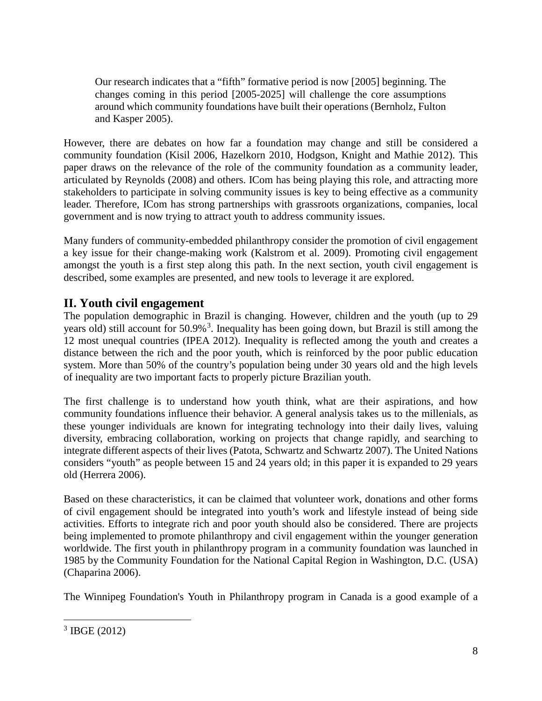Our research indicates that a "fifth" formative period is now [2005] beginning. The changes coming in this period [2005-2025] will challenge the core assumptions around which community foundations have built their operations (Bernholz, Fulton and Kasper 2005).

However, there are debates on how far a foundation may change and still be considered a community foundation (Kisil 2006, Hazelkorn 2010, Hodgson, Knight and Mathie 2012). This paper draws on the relevance of the role of the community foundation as a community leader, articulated by Reynolds (2008) and others. ICom has being playing this role, and attracting more stakeholders to participate in solving community issues is key to being effective as a community leader. Therefore, ICom has strong partnerships with grassroots organizations, companies, local government and is now trying to attract youth to address community issues.

Many funders of community-embedded philanthropy consider the promotion of civil engagement a key issue for their change-making work (Kalstrom et al. 2009). Promoting civil engagement amongst the youth is a first step along this path. In the next section, youth civil engagement is described, some examples are presented, and new tools to leverage it are explored.

## <span id="page-10-0"></span>**II. Youth civil engagement**

The population demographic in Brazil is changing. However, children and the youth (up to 29 years old) still account for 50.9%<sup>[3](#page-10-1)</sup>. Inequality has been going down, but Brazil is still among the 12 most unequal countries (IPEA 2012). Inequality is reflected among the youth and creates a distance between the rich and the poor youth, which is reinforced by the poor public education system. More than 50% of the country's population being under 30 years old and the high levels of inequality are two important facts to properly picture Brazilian youth.

The first challenge is to understand how youth think, what are their aspirations, and how community foundations influence their behavior. A general analysis takes us to the millenials, as these younger individuals are known for integrating technology into their daily lives, valuing diversity, embracing collaboration, working on projects that change rapidly, and searching to integrate different aspects of their lives (Patota, Schwartz and Schwartz 2007). The United Nations considers "youth" as people between 15 and 24 years old; in this paper it is expanded to 29 years old (Herrera 2006).

Based on these characteristics, it can be claimed that volunteer work, donations and other forms of civil engagement should be integrated into youth's work and lifestyle instead of being side activities. Efforts to integrate rich and poor youth should also be considered. There are projects being implemented to promote philanthropy and civil engagement within the younger generation worldwide. The first youth in philanthropy program in a community foundation was launched in 1985 by the Community Foundation for the National Capital Region in Washington, D.C. (USA) (Chaparina 2006).

The Winnipeg Foundation's Youth in Philanthropy program in Canada is a good example of a

<span id="page-10-1"></span> $3$  IBGE (2012)  $\overline{a}$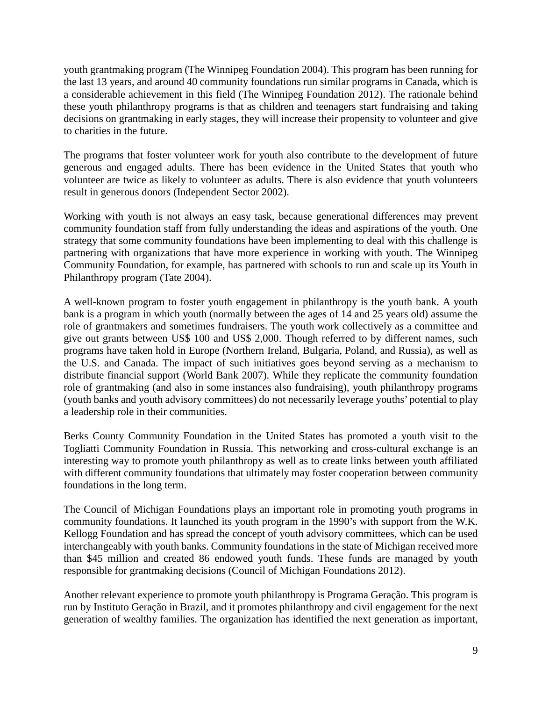youth grantmaking program (The Winnipeg Foundation 2004). This program has been running for the last 13 years, and around 40 community foundations run similar programs in Canada, which is a considerable achievement in this field (The Winnipeg Foundation 2012). The rationale behind these youth philanthropy programs is that as children and teenagers start fundraising and taking decisions on grantmaking in early stages, they will increase their propensity to volunteer and give to charities in the future.

The programs that foster volunteer work for youth also contribute to the development of future generous and engaged adults. There has been evidence in the United States that youth who volunteer are twice as likely to volunteer as adults. There is also evidence that youth volunteers result in generous donors (Independent Sector 2002).

Working with youth is not always an easy task, because generational differences may prevent community foundation staff from fully understanding the ideas and aspirations of the youth. One strategy that some community foundations have been implementing to deal with this challenge is partnering with organizations that have more experience in working with youth. The Winnipeg Community Foundation, for example, has partnered with schools to run and scale up its Youth in Philanthropy program (Tate 2004).

A well-known program to foster youth engagement in philanthropy is the youth bank. A youth bank is a program in which youth (normally between the ages of 14 and 25 years old) assume the role of grantmakers and sometimes fundraisers. The youth work collectively as a committee and give out grants between US\$ 100 and US\$ 2,000. Though referred to by different names, such programs have taken hold in Europe (Northern Ireland, Bulgaria, Poland, and Russia), as well as the U.S. and Canada. The impact of such initiatives goes beyond serving as a mechanism to distribute financial support (World Bank 2007). While they replicate the community foundation role of grantmaking (and also in some instances also fundraising), youth philanthropy programs (youth banks and youth advisory committees) do not necessarily leverage youths' potential to play a leadership role in their communities.

Berks County Community Foundation in the United States has promoted a youth visit to the Togliatti Community Foundation in Russia. This networking and cross-cultural exchange is an interesting way to promote youth philanthropy as well as to create links between youth affiliated with different community foundations that ultimately may foster cooperation between community foundations in the long term.

The Council of Michigan Foundations plays an important role in promoting youth programs in community foundations. It launched its youth program in the 1990's with support from the W.K. Kellogg Foundation and has spread the concept of youth advisory committees, which can be used interchangeably with youth banks. Community foundations in the state of Michigan received more than \$45 million and created 86 endowed youth funds. These funds are managed by youth responsible for grantmaking decisions (Council of Michigan Foundations 2012).

Another relevant experience to promote youth philanthropy is Programa Geração. This program is run by Instituto Geração in Brazil, and it promotes philanthropy and civil engagement for the next generation of wealthy families. The organization has identified the next generation as important,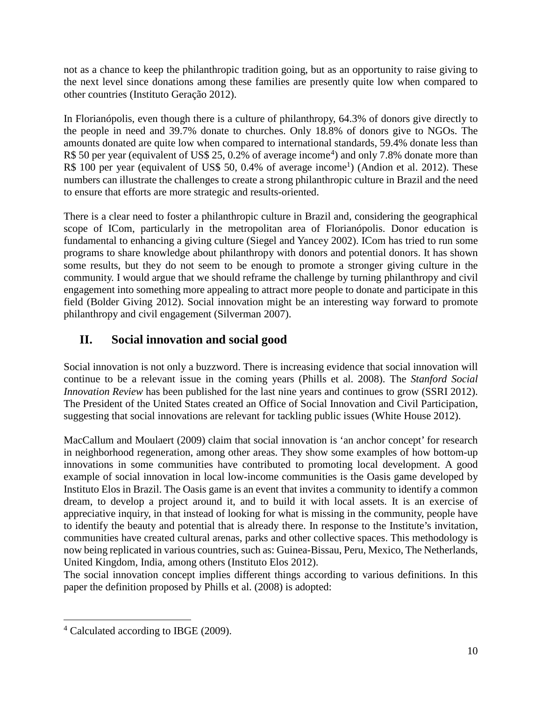not as a chance to keep the philanthropic tradition going, but as an opportunity to raise giving to the next level since donations among these families are presently quite low when compared to other countries (Instituto Geração 2012).

In Florianópolis, even though there is a culture of philanthropy, 64.3% of donors give directly to the people in need and 39.7% donate to churches. Only 18.8% of donors give to NGOs. The amounts donated are quite low when compared to international standards, 59.4% donate less than R\$ 50 per year (equivalent of US\$ 25, 0.2% of average income<sup>[4](#page-12-1)</sup>) and only 7.8% donate more than R\$ 100 per year (equivalent of US\$ 50, 0.4% of average income<sup>1</sup>) (Andion et al. 2012). These numbers can illustrate the challenges to create a strong philanthropic culture in Brazil and the need to ensure that efforts are more strategic and results-oriented.

There is a clear need to foster a philanthropic culture in Brazil and, considering the geographical scope of ICom, particularly in the metropolitan area of Florianópolis. Donor education is fundamental to enhancing a giving culture (Siegel and Yancey 2002). ICom has tried to run some programs to share knowledge about philanthropy with donors and potential donors. It has shown some results, but they do not seem to be enough to promote a stronger giving culture in the community. I would argue that we should reframe the challenge by turning philanthropy and civil engagement into something more appealing to attract more people to donate and participate in this field (Bolder Giving 2012). Social innovation might be an interesting way forward to promote philanthropy and civil engagement (Silverman 2007).

# <span id="page-12-0"></span>**II. Social innovation and social good**

Social innovation is not only a buzzword. There is increasing evidence that social innovation will continue to be a relevant issue in the coming years (Phills et al. 2008). The *Stanford Social Innovation Review* has been published for the last nine years and continues to grow (SSRI 2012). The President of the United States created an Office of Social Innovation and Civil Participation, suggesting that social innovations are relevant for tackling public issues (White House 2012).

MacCallum and Moulaert (2009) claim that social innovation is 'an anchor concept' for research in neighborhood regeneration, among other areas. They show some examples of how bottom-up innovations in some communities have contributed to promoting local development. A good example of social innovation in local low-income communities is the Oasis game developed by Instituto Elos in Brazil. The Oasis game is an event that invites a community to identify a common dream, to develop a project around it, and to build it with local assets. It is an exercise of appreciative inquiry, in that instead of looking for what is missing in the community, people have to identify the beauty and potential that is already there. In response to the Institute's invitation, communities have created cultural arenas, parks and other collective spaces. This methodology is now being replicated in various countries, such as: Guinea-Bissau, Peru, Mexico, The Netherlands, United Kingdom, India, among others (Instituto Elos 2012).

The social innovation concept implies different things according to various definitions. In this paper the definition proposed by Phills et al. (2008) is adopted:

<span id="page-12-1"></span><sup>4</sup> Calculated according to IBGE (2009).  $\overline{a}$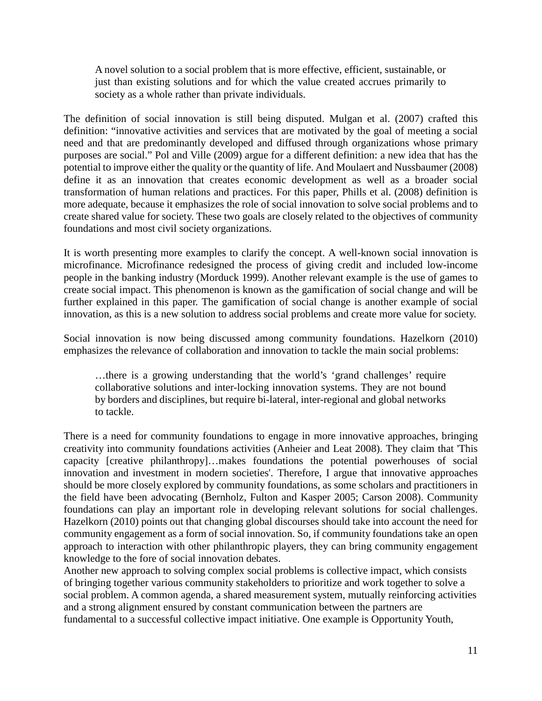A novel solution to a social problem that is more effective, efficient, sustainable, or just than existing solutions and for which the value created accrues primarily to society as a whole rather than private individuals.

The definition of social innovation is still being disputed. Mulgan et al. (2007) crafted this definition: "innovative activities and services that are motivated by the goal of meeting a social need and that are predominantly developed and diffused through organizations whose primary purposes are social." Pol and Ville (2009) argue for a different definition: a new idea that has the potential to improve either the quality or the quantity of life. And Moulaert and Nussbaumer (2008) define it as an innovation that creates economic development as well as a broader social transformation of human relations and practices. For this paper, Phills et al. (2008) definition is more adequate, because it emphasizes the role of social innovation to solve social problems and to create shared value for society. These two goals are closely related to the objectives of community foundations and most civil society organizations.

It is worth presenting more examples to clarify the concept. A well-known social innovation is microfinance. Microfinance redesigned the process of giving credit and included low-income people in the banking industry (Morduck 1999). Another relevant example is the use of games to create social impact. This phenomenon is known as the gamification of social change and will be further explained in this paper. The gamification of social change is another example of social innovation, as this is a new solution to address social problems and create more value for society.

Social innovation is now being discussed among community foundations. Hazelkorn (2010) emphasizes the relevance of collaboration and innovation to tackle the main social problems:

…there is a growing understanding that the world's 'grand challenges' require collaborative solutions and inter-locking innovation systems. They are not bound by borders and disciplines, but require bi-lateral, inter-regional and global networks to tackle.

There is a need for community foundations to engage in more innovative approaches, bringing creativity into community foundations activities (Anheier and Leat 2008). They claim that 'This capacity [creative philanthropy]…makes foundations the potential powerhouses of social innovation and investment in modern societies'. Therefore, I argue that innovative approaches should be more closely explored by community foundations, as some scholars and practitioners in the field have been advocating (Bernholz, Fulton and Kasper 2005; Carson 2008). Community foundations can play an important role in developing relevant solutions for social challenges. Hazelkorn (2010) points out that changing global discourses should take into account the need for community engagement as a form of social innovation. So, if community foundations take an open approach to interaction with other philanthropic players, they can bring community engagement knowledge to the fore of social innovation debates.

Another new approach to solving complex social problems is collective impact, which consists of bringing together various community stakeholders to prioritize and work together to solve a social problem. A common agenda, a shared measurement system, mutually reinforcing activities and a strong alignment ensured by constant communication between the partners are fundamental to a successful collective impact initiative. One example is Opportunity Youth,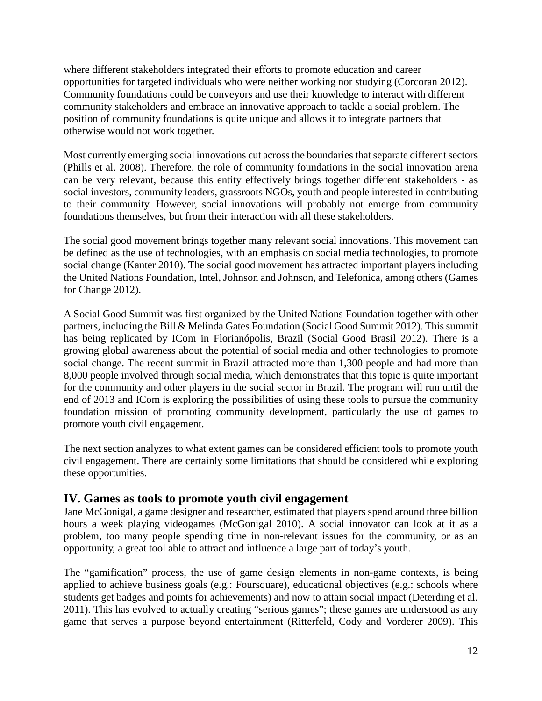where different stakeholders integrated their efforts to promote education and career opportunities for targeted individuals who were neither working nor studying (Corcoran 2012). Community foundations could be conveyors and use their knowledge to interact with different community stakeholders and embrace an innovative approach to tackle a social problem. The position of community foundations is quite unique and allows it to integrate partners that otherwise would not work together.

Most currently emerging social innovations cut across the boundaries that separate different sectors (Phills et al. 2008). Therefore, the role of community foundations in the social innovation arena can be very relevant, because this entity effectively brings together different stakeholders - as social investors, community leaders, grassroots NGOs, youth and people interested in contributing to their community. However, social innovations will probably not emerge from community foundations themselves, but from their interaction with all these stakeholders.

The social good movement brings together many relevant social innovations. This movement can be defined as the use of technologies, with an emphasis on social media technologies, to promote social change (Kanter 2010). The social good movement has attracted important players including the United Nations Foundation, Intel, Johnson and Johnson, and Telefonica, among others (Games for Change 2012).

A Social Good Summit was first organized by the United Nations Foundation together with other partners, including the Bill & Melinda Gates Foundation (Social Good Summit 2012). This summit has being replicated by ICom in Florianópolis, Brazil (Social Good Brasil 2012). There is a growing global awareness about the potential of social media and other technologies to promote social change. The recent summit in Brazil attracted more than 1,300 people and had more than 8,000 people involved through social media, which demonstrates that this topic is quite important for the community and other players in the social sector in Brazil. The program will run until the end of 2013 and ICom is exploring the possibilities of using these tools to pursue the community foundation mission of promoting community development, particularly the use of games to promote youth civil engagement.

The next section analyzes to what extent games can be considered efficient tools to promote youth civil engagement. There are certainly some limitations that should be considered while exploring these opportunities.

#### <span id="page-14-0"></span>**IV. Games as tools to promote youth civil engagement**

Jane McGonigal, a game designer and researcher, estimated that players spend around three billion hours a week playing videogames (McGonigal 2010). A social innovator can look at it as a problem, too many people spending time in non-relevant issues for the community, or as an opportunity, a great tool able to attract and influence a large part of today's youth.

The "gamification" process, the use of game design elements in non-game contexts, is being applied to achieve business goals (e.g.: Foursquare), educational objectives (e.g.: schools where students get badges and points for achievements) and now to attain social impact (Deterding et al. 2011). This has evolved to actually creating "serious games"; these games are understood as any game that serves a purpose beyond entertainment (Ritterfeld, Cody and Vorderer 2009). This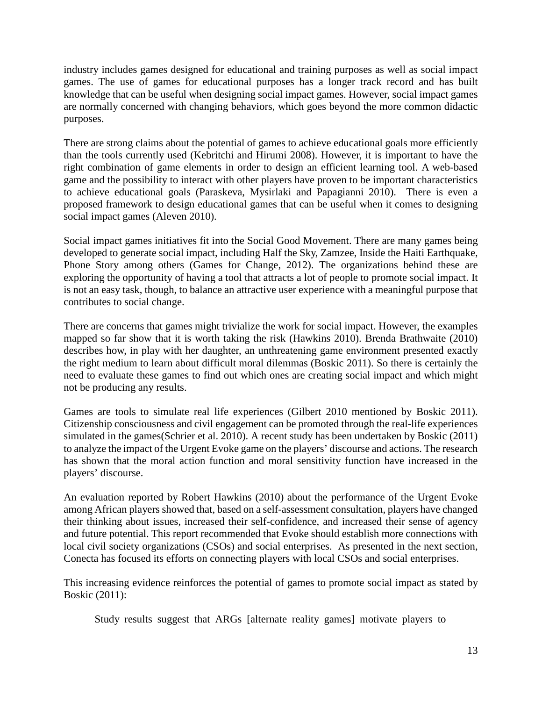industry includes games designed for educational and training purposes as well as social impact games. The use of games for educational purposes has a longer track record and has built knowledge that can be useful when designing social impact games. However, social impact games are normally concerned with changing behaviors, which goes beyond the more common didactic purposes.

There are strong claims about the potential of games to achieve educational goals more efficiently than the tools currently used (Kebritchi and Hirumi 2008). However, it is important to have the right combination of game elements in order to design an efficient learning tool. A web-based game and the possibility to interact with other players have proven to be important characteristics to achieve educational goals (Paraskeva, Mysirlaki and Papagianni 2010). There is even a proposed framework to design educational games that can be useful when it comes to designing social impact games (Aleven 2010).

Social impact games initiatives fit into the Social Good Movement. There are many games being developed to generate social impact, including Half the Sky, Zamzee, Inside the Haiti Earthquake, Phone Story among others (Games for Change, 2012). The organizations behind these are exploring the opportunity of having a tool that attracts a lot of people to promote social impact. It is not an easy task, though, to balance an attractive user experience with a meaningful purpose that contributes to social change.

There are concerns that games might trivialize the work for social impact. However, the examples mapped so far show that it is worth taking the risk (Hawkins 2010). Brenda Brathwaite (2010) describes how, in play with her daughter, an unthreatening game environment presented exactly the right medium to learn about difficult moral dilemmas (Boskic 2011). So there is certainly the need to evaluate these games to find out which ones are creating social impact and which might not be producing any results.

Games are tools to simulate real life experiences (Gilbert 2010 mentioned by Boskic 2011). Citizenship consciousness and civil engagement can be promoted through the real-life experiences simulated in the games(Schrier et al. 2010). A recent study has been undertaken by Boskic (2011) to analyze the impact of the Urgent Evoke game on the players' discourse and actions. The research has shown that the moral action function and moral sensitivity function have increased in the players' discourse.

An evaluation reported by Robert Hawkins (2010) about the performance of the Urgent Evoke among African players showed that, based on a self-assessment consultation, players have changed their thinking about issues, increased their self-confidence, and increased their sense of agency and future potential. This report recommended that Evoke should establish more connections with local civil society organizations (CSOs) and social enterprises. As presented in the next section, Conecta has focused its efforts on connecting players with local CSOs and social enterprises.

This increasing evidence reinforces the potential of games to promote social impact as stated by Boskic (2011):

Study results suggest that ARGs [alternate reality games] motivate players to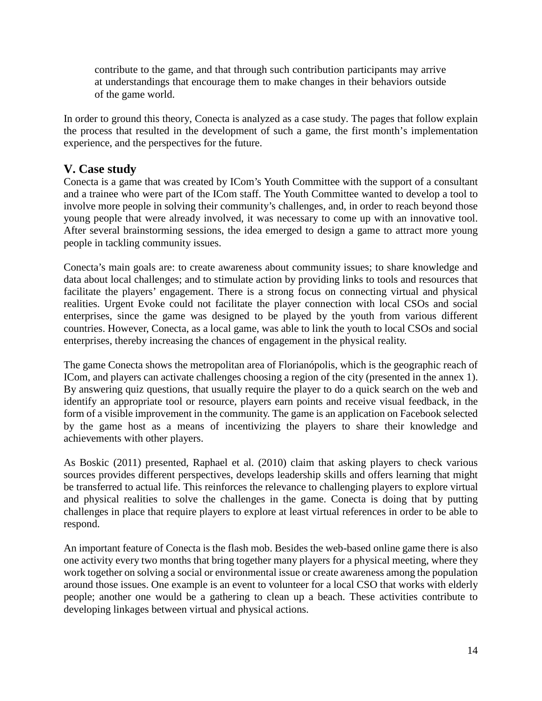contribute to the game, and that through such contribution participants may arrive at understandings that encourage them to make changes in their behaviors outside of the game world.

In order to ground this theory, Conecta is analyzed as a case study. The pages that follow explain the process that resulted in the development of such a game, the first month's implementation experience, and the perspectives for the future.

### <span id="page-16-0"></span>**V. Case study**

Conecta is a game that was created by ICom's Youth Committee with the support of a consultant and a trainee who were part of the ICom staff. The Youth Committee wanted to develop a tool to involve more people in solving their community's challenges, and, in order to reach beyond those young people that were already involved, it was necessary to come up with an innovative tool. After several brainstorming sessions, the idea emerged to design a game to attract more young people in tackling community issues.

Conecta's main goals are: to create awareness about community issues; to share knowledge and data about local challenges; and to stimulate action by providing links to tools and resources that facilitate the players' engagement. There is a strong focus on connecting virtual and physical realities. Urgent Evoke could not facilitate the player connection with local CSOs and social enterprises, since the game was designed to be played by the youth from various different countries. However, Conecta, as a local game, was able to link the youth to local CSOs and social enterprises, thereby increasing the chances of engagement in the physical reality.

The game Conecta shows the metropolitan area of Florianópolis, which is the geographic reach of ICom, and players can activate challenges choosing a region of the city (presented in the annex 1). By answering quiz questions, that usually require the player to do a quick search on the web and identify an appropriate tool or resource, players earn points and receive visual feedback, in the form of a visible improvement in the community. The game is an application on Facebook selected by the game host as a means of incentivizing the players to share their knowledge and achievements with other players.

As Boskic (2011) presented, Raphael et al. (2010) claim that asking players to check various sources provides different perspectives, develops leadership skills and offers learning that might be transferred to actual life. This reinforces the relevance to challenging players to explore virtual and physical realities to solve the challenges in the game. Conecta is doing that by putting challenges in place that require players to explore at least virtual references in order to be able to respond.

An important feature of Conecta is the flash mob. Besides the web-based online game there is also one activity every two months that bring together many players for a physical meeting, where they work together on solving a social or environmental issue or create awareness among the population around those issues. One example is an event to volunteer for a local CSO that works with elderly people; another one would be a gathering to clean up a beach. These activities contribute to developing linkages between virtual and physical actions.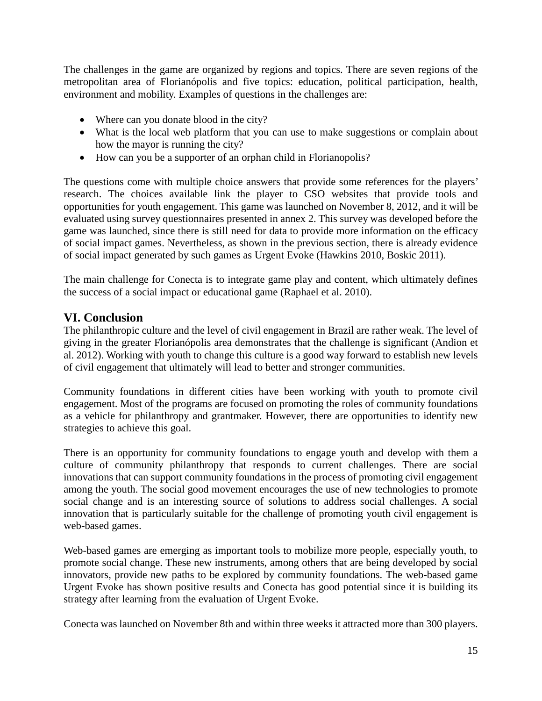The challenges in the game are organized by regions and topics. There are seven regions of the metropolitan area of Florianópolis and five topics: education, political participation, health, environment and mobility. Examples of questions in the challenges are:

- Where can you donate blood in the city?
- What is the local web platform that you can use to make suggestions or complain about how the mayor is running the city?
- How can you be a supporter of an orphan child in Florianopolis?

The questions come with multiple choice answers that provide some references for the players' research. The choices available link the player to CSO websites that provide tools and opportunities for youth engagement. This game was launched on November 8, 2012, and it will be evaluated using survey questionnaires presented in annex 2. This survey was developed before the game was launched, since there is still need for data to provide more information on the efficacy of social impact games. Nevertheless, as shown in the previous section, there is already evidence of social impact generated by such games as Urgent Evoke (Hawkins 2010, Boskic 2011).

The main challenge for Conecta is to integrate game play and content, which ultimately defines the success of a social impact or educational game (Raphael et al. 2010).

#### <span id="page-17-0"></span>**VI. Conclusion**

The philanthropic culture and the level of civil engagement in Brazil are rather weak. The level of giving in the greater Florianópolis area demonstrates that the challenge is significant (Andion et al. 2012). Working with youth to change this culture is a good way forward to establish new levels of civil engagement that ultimately will lead to better and stronger communities.

Community foundations in different cities have been working with youth to promote civil engagement. Most of the programs are focused on promoting the roles of community foundations as a vehicle for philanthropy and grantmaker. However, there are opportunities to identify new strategies to achieve this goal.

There is an opportunity for community foundations to engage youth and develop with them a culture of community philanthropy that responds to current challenges. There are social innovations that can support community foundations in the process of promoting civil engagement among the youth. The social good movement encourages the use of new technologies to promote social change and is an interesting source of solutions to address social challenges. A social innovation that is particularly suitable for the challenge of promoting youth civil engagement is web-based games.

Web-based games are emerging as important tools to mobilize more people, especially youth, to promote social change. These new instruments, among others that are being developed by social innovators, provide new paths to be explored by community foundations. The web-based game Urgent Evoke has shown positive results and Conecta has good potential since it is building its strategy after learning from the evaluation of Urgent Evoke.

Conecta was launched on November 8th and within three weeks it attracted more than 300 players.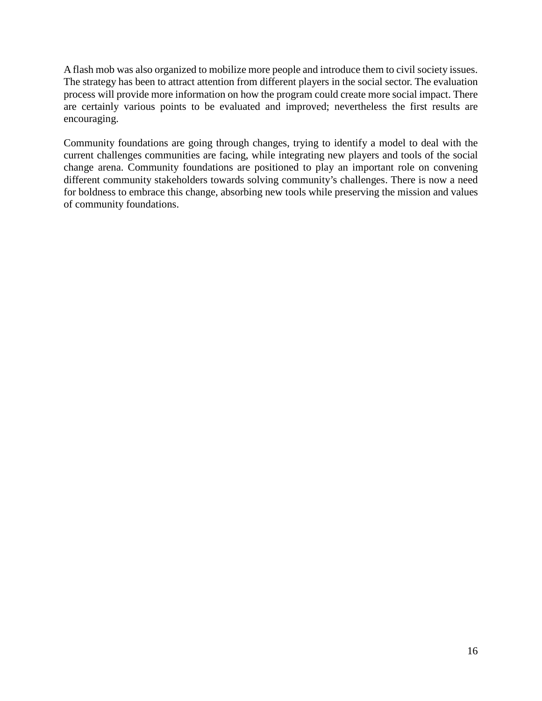A flash mob was also organized to mobilize more people and introduce them to civil society issues. The strategy has been to attract attention from different players in the social sector. The evaluation process will provide more information on how the program could create more social impact. There are certainly various points to be evaluated and improved; nevertheless the first results are encouraging.

Community foundations are going through changes, trying to identify a model to deal with the current challenges communities are facing, while integrating new players and tools of the social change arena. Community foundations are positioned to play an important role on convening different community stakeholders towards solving community's challenges. There is now a need for boldness to embrace this change, absorbing new tools while preserving the mission and values of community foundations.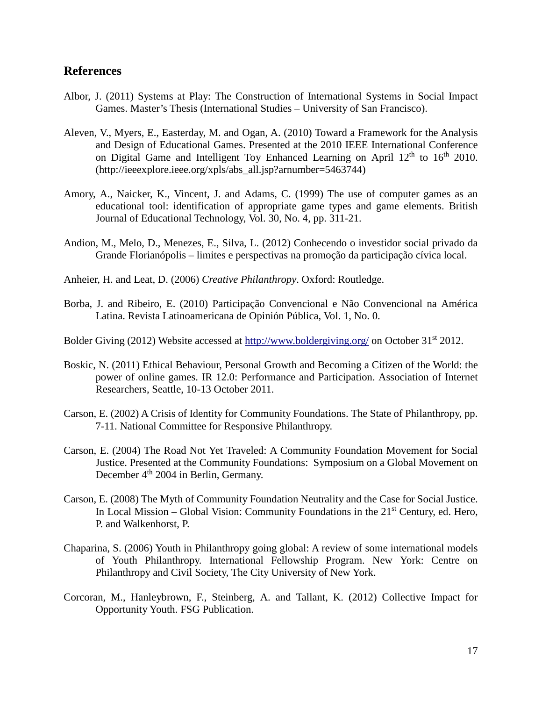#### <span id="page-19-0"></span>**References**

- Albor, J. (2011) Systems at Play: The Construction of International Systems in Social Impact Games. Master's Thesis (International Studies – University of San Francisco).
- Aleven, V., Myers, E., Easterday, M. and Ogan, A. (2010) Toward a Framework for the Analysis and Design of Educational Games. Presented at the 2010 IEEE International Conference on Digital Game and Intelligent Toy Enhanced Learning on April  $12<sup>th</sup>$  to  $16<sup>th</sup>$  2010. (http://ieeexplore.ieee.org/xpls/abs\_all.jsp?arnumber=5463744)
- Amory, A., Naicker, K., Vincent, J. and Adams, C. (1999) The use of computer games as an educational tool: identification of appropriate game types and game elements. British Journal of Educational Technology, Vol. 30, No. 4, pp. 311-21.
- Andion, M., Melo, D., Menezes, E., Silva, L. (2012) Conhecendo o investidor social privado da Grande Florianópolis – limites e perspectivas na promoção da participação cívica local.
- Anheier, H. and Leat, D. (2006) *Creative Philanthropy*. Oxford: Routledge.
- Borba, J. and Ribeiro, E. (2010) Participação Convencional e Não Convencional na América Latina. Revista Latinoamericana de Opinión Pública, Vol. 1, No. 0.
- Bolder Giving (2012) Website accessed at<http://www.boldergiving.org/> on October 31<sup>st</sup> 2012.
- Boskic, N. (2011) Ethical Behaviour, Personal Growth and Becoming a Citizen of the World: the power of online games. IR 12.0: Performance and Participation. Association of Internet Researchers, Seattle, 10-13 October 2011.
- Carson, E. (2002) A Crisis of Identity for Community Foundations. The State of Philanthropy, pp. 7-11. National Committee for Responsive Philanthropy.
- Carson, E. (2004) The Road Not Yet Traveled: A Community Foundation Movement for Social Justice. Presented at the Community Foundations: Symposium on a Global Movement on December 4<sup>th</sup> 2004 in Berlin, Germany.
- Carson, E. (2008) The Myth of Community Foundation Neutrality and the Case for Social Justice. In Local Mission – Global Vision: Community Foundations in the  $21<sup>st</sup>$  Century, ed. Hero, P. and Walkenhorst, P.
- Chaparina, S. (2006) Youth in Philanthropy going global: A review of some international models of Youth Philanthropy. International Fellowship Program. New York: Centre on Philanthropy and Civil Society, The City University of New York.
- Corcoran, M., Hanleybrown, F., Steinberg, A. and Tallant, K. (2012) Collective Impact for Opportunity Youth. FSG Publication.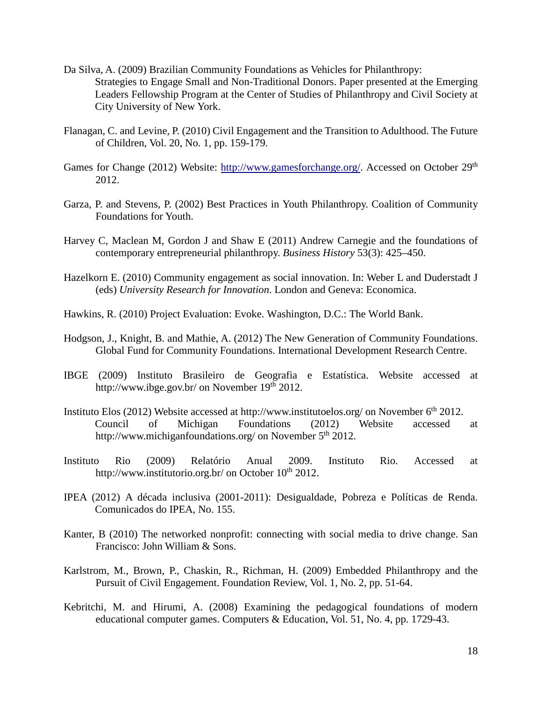- Da Silva, A. (2009) Brazilian Community Foundations as Vehicles for Philanthropy: Strategies to Engage Small and Non-Traditional Donors. Paper presented at the Emerging Leaders Fellowship Program at the Center of Studies of Philanthropy and Civil Society at City University of New York.
- Flanagan, C. and Levine, P. (2010) Civil Engagement and the Transition to Adulthood. The Future of Children, Vol. 20, No. 1, pp. 159-179.
- Games for Change (2012) Website: [http://www.gamesforchange.org/.](http://www.gamesforchange.org/) Accessed on October 29<sup>th</sup> 2012.
- Garza, P. and Stevens, P. (2002) Best Practices in Youth Philanthropy. Coalition of Community Foundations for Youth.
- Harvey C, Maclean M, Gordon J and Shaw E (2011) Andrew Carnegie and the foundations of contemporary entrepreneurial philanthropy. *Business History* 53(3): 425–450.
- Hazelkorn E. (2010) Community engagement as social innovation. In: Weber L and Duderstadt J (eds) *University Research for Innovation*. London and Geneva: Economica.
- Hawkins, R. (2010) Project Evaluation: Evoke. Washington, D.C.: The World Bank.
- Hodgson, J., Knight, B. and Mathie, A. (2012) The New Generation of Community Foundations. Global Fund for Community Foundations. International Development Research Centre.
- IBGE (2009) Instituto Brasileiro de Geografia e Estatística. Website accessed at http://www.ibge.gov.br/ on November  $19<sup>th</sup> 2012$ .
- Instituto Elos (2012) Website accessed at http://www.institutoelos.org/ on November 6<sup>th</sup> 2012. Council of Michigan Foundations (2012) Website accessed at http://www.michiganfoundations.org/ on November 5<sup>th</sup> 2012.
- Instituto Rio (2009) Relatório Anual 2009. Instituto Rio. Accessed at http://www.institutorio.org.br/ on October  $10^{th}$  2012.
- IPEA (2012) A década inclusiva (2001-2011): Desigualdade, Pobreza e Políticas de Renda. Comunicados do IPEA, No. 155.
- Kanter, B (2010) The networked nonprofit: connecting with social media to drive change. San Francisco: John William & Sons.
- Karlstrom, M., Brown, P., Chaskin, R., Richman, H. (2009) Embedded Philanthropy and the Pursuit of Civil Engagement. Foundation Review, Vol. 1, No. 2, pp. 51-64.
- Kebritchi, M. and Hirumi, A. (2008) Examining the pedagogical foundations of modern educational computer games. Computers & Education, Vol. 51, No. 4, pp. 1729-43.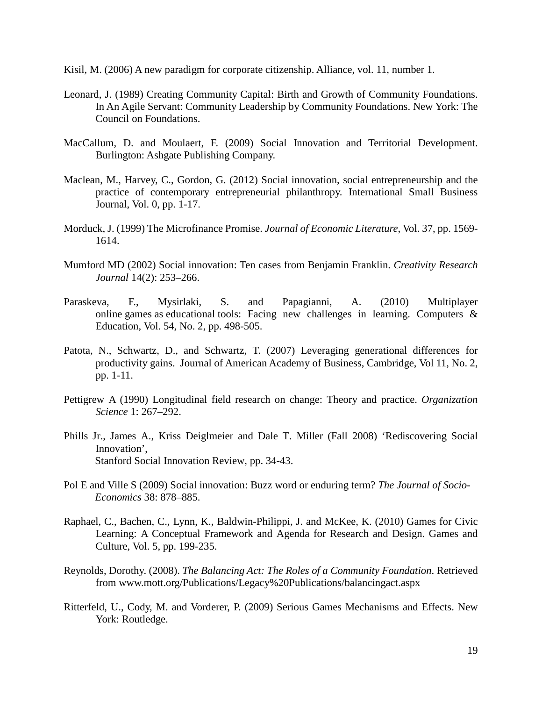Kisil, M. (2006) A new paradigm for corporate citizenship. Alliance, vol. 11, number 1.

- Leonard, J. (1989) Creating Community Capital: Birth and Growth of Community Foundations. In An Agile Servant: Community Leadership by Community Foundations. New York: The Council on Foundations.
- MacCallum, D. and Moulaert, F. (2009) Social Innovation and Territorial Development. Burlington: Ashgate Publishing Company.
- Maclean, M., Harvey, C., Gordon, G. (2012) Social innovation, social entrepreneurship and the practice of contemporary entrepreneurial philanthropy. International Small Business Journal, Vol. 0, pp. 1-17.
- Morduck, J. (1999) The Microfinance Promise. *Journal of Economic Literature*, Vol. 37, pp. 1569- 1614.
- Mumford MD (2002) Social innovation: Ten cases from Benjamin Franklin. *Creativity Research Journal* 14(2): 253–266.
- Paraskeva, F., Mysirlaki, S. and Papagianni, A. (2010) Multiplayer online games as educational tools: Facing new challenges in learning. Computers & Education, Vol. 54, No. 2, pp. 498-505.
- Patota, N., Schwartz, D., and Schwartz, T. (2007) Leveraging generational differences for productivity gains. Journal of American Academy of Business, Cambridge, Vol 11, No. 2, pp. 1-11.
- Pettigrew A (1990) Longitudinal field research on change: Theory and practice. *Organization Science* 1: 267–292.
- Phills Jr., James A., Kriss Deiglmeier and Dale T. Miller (Fall 2008) 'Rediscovering Social Innovation', Stanford Social Innovation Review, pp. 34-43.
- Pol E and Ville S (2009) Social innovation: Buzz word or enduring term? *The Journal of Socio-Economics* 38: 878–885.
- Raphael, C., Bachen, C., Lynn, K., Baldwin-Philippi, J. and McKee, K. (2010) Games for Civic Learning: A Conceptual Framework and Agenda for Research and Design. Games and Culture, Vol. 5, pp. 199-235.
- Reynolds, Dorothy. (2008). *The Balancing Act: The Roles of a Community Foundation*. Retrieved from www.mott.org/Publications/Legacy%20Publications/balancingact.aspx
- Ritterfeld, U., Cody, M. and Vorderer, P. (2009) Serious Games Mechanisms and Effects. New York: Routledge.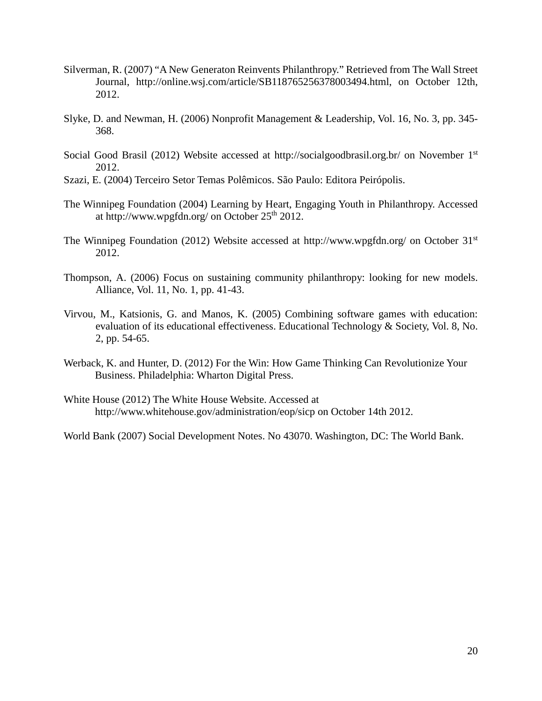- Silverman, R. (2007) "A New Generaton Reinvents Philanthropy." Retrieved from The Wall Street Journal, http://online.wsj.com/article/SB118765256378003494.html, on October 12th, 2012.
- Slyke, D. and Newman, H. (2006) Nonprofit Management & Leadership, Vol. 16, No. 3, pp. 345- 368.
- Social Good Brasil (2012) Website accessed at http://socialgoodbrasil.org.br/ on November 1<sup>st</sup> 2012.
- Szazi, E. (2004) Terceiro Setor Temas Polêmicos. São Paulo: Editora Peirópolis.
- The Winnipeg Foundation (2004) Learning by Heart, Engaging Youth in Philanthropy. Accessed at http://www.wpgfdn.org/ on October  $25<sup>th</sup> 2012$ .
- The Winnipeg Foundation (2012) Website accessed at http://www.wpgfdn.org/ on October 31st 2012.
- Thompson, A. (2006) Focus on sustaining community philanthropy: looking for new models. Alliance, Vol. 11, No. 1, pp. 41-43.
- Virvou, M., Katsionis, G. and Manos, K. (2005) Combining software games with education: evaluation of its educational effectiveness. Educational Technology & Society, Vol. 8, No. 2, pp. 54-65.
- Werback, K. and Hunter, D. (2012) For the Win: How Game Thinking Can Revolutionize Your Business. Philadelphia: Wharton Digital Press.
- White House (2012) The White House Website. Accessed at http://www.whitehouse.gov/administration/eop/sicp on October 14th 2012.
- World Bank (2007) Social Development Notes. No 43070. Washington, DC: The World Bank.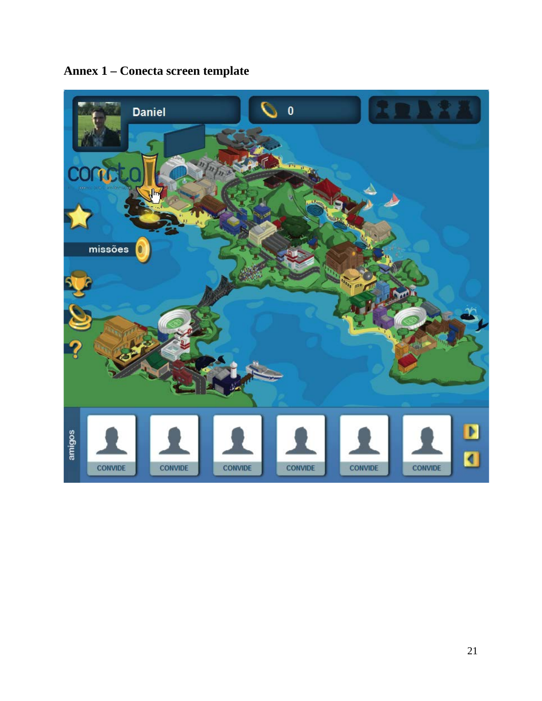

<span id="page-23-0"></span>**Annex 1 – Conecta screen template**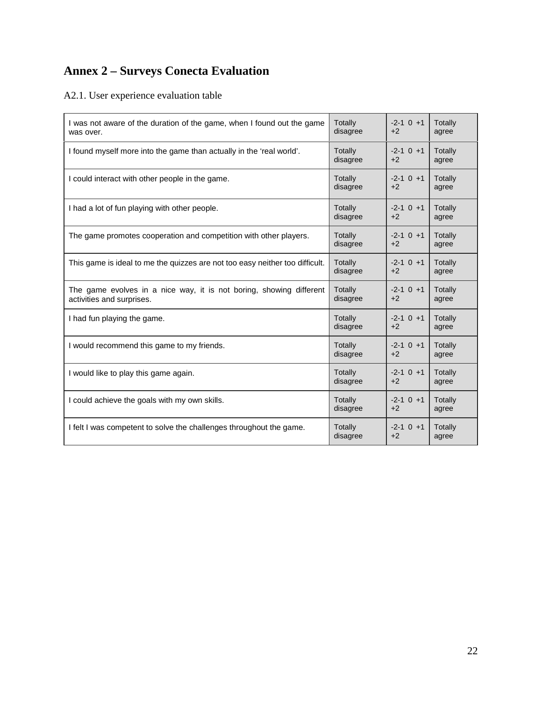# <span id="page-24-0"></span>**Annex 2 – Surveys Conecta Evaluation**

#### A2.1. User experience evaluation table

| I was not aware of the duration of the game, when I found out the game       | Totally  | $-2-1$ 0 $+1$ | Totally |
|------------------------------------------------------------------------------|----------|---------------|---------|
| was over.                                                                    | disagree | $+2$          | agree   |
| I found myself more into the game than actually in the 'real world'.         | Totally  | $-2-1$ 0 $+1$ | Totally |
|                                                                              | disagree | $+2$          | agree   |
| I could interact with other people in the game.                              | Totally  | $-2-1$ 0 $+1$ | Totally |
|                                                                              | disagree | $+2$          | agree   |
| I had a lot of fun playing with other people.                                | Totally  | $-2-1$ 0 $+1$ | Totally |
|                                                                              | disagree | $+2$          | agree   |
| The game promotes cooperation and competition with other players.            | Totally  | $-2-1$ 0 $+1$ | Totally |
|                                                                              | disagree | $+2$          | agree   |
| This game is ideal to me the quizzes are not too easy neither too difficult. | Totally  | $-2-1$ 0 $+1$ | Totally |
|                                                                              | disagree | $+2$          | agree   |
| The game evolves in a nice way, it is not boring, showing different          | Totally  | $-2-1$ 0 $+1$ | Totally |
| activities and surprises.                                                    | disagree | $+2$          | agree   |
| I had fun playing the game.                                                  | Totally  | $-2-1$ 0 $+1$ | Totally |
|                                                                              | disagree | $+2$          | agree   |
| I would recommend this game to my friends.                                   | Totally  | $-2-1$ 0 $+1$ | Totally |
|                                                                              | disagree | $+2$          | agree   |
| I would like to play this game again.                                        | Totally  | $-2-1$ 0 $+1$ | Totally |
|                                                                              | disagree | $+2$          | agree   |
| I could achieve the goals with my own skills.                                | Totally  | $-2-1$ 0 $+1$ | Totally |
|                                                                              | disagree | $+2$          | agree   |
| I felt I was competent to solve the challenges throughout the game.          | Totally  | $-2-1$ 0 $+1$ | Totally |
|                                                                              | disagree | $+2$          | agree   |